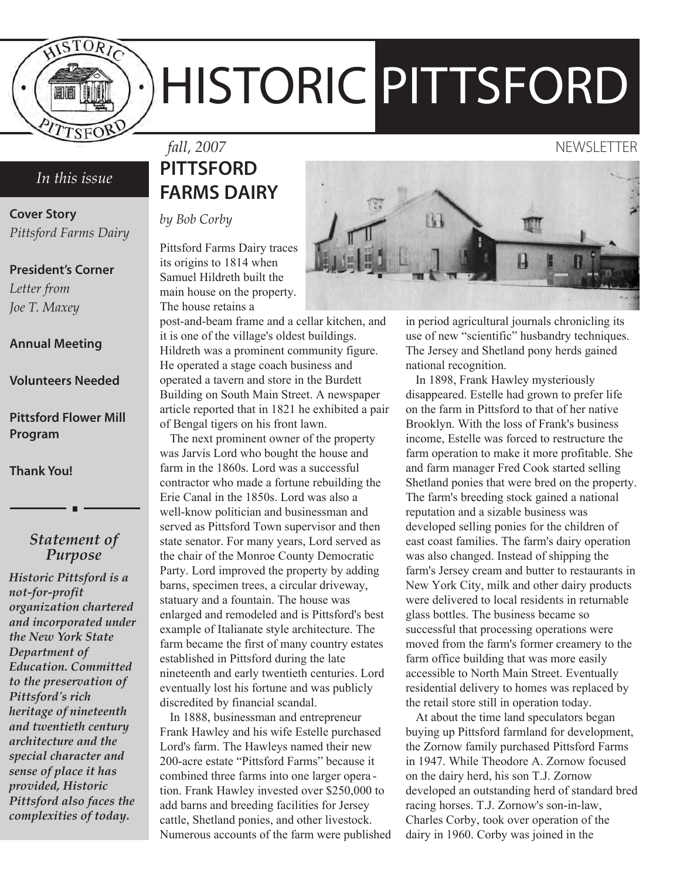

# HISTORIC PITTSFORD

# *In this issue*

**Cover Story** *Pittsford Farms Dairy*

# **President's Corner** *Letter from*

*Joe T. Maxey*

# **Annual Meeting**

# **Volunteers Needed**

# **Pittsford Flower Mill Program**

**Thank You!**

# *Statement of Purpose*

*Historic Pittsford is a not-for-profit organization chartered and incorporated under the New York State Department of Education. Committed to the preservation of Pittsford's rich heritage of nineteenth and twentieth century architecture and the special character and sense of place it has provided, Historic Pittsford also faces the complexities of today.*

# **PITTSFORD FARMS DAIRY**

# *by Bob Corby*

Pittsford Farms Dairy traces its origins to 1814 when Samuel Hildreth built the main house on the property. The house retains a

post-and-beam frame and a cellar kitchen, and it is one of the village's oldest buildings. Hildreth was a prominent community figure. He operated a stage coach business and operated a tavern and store in the Burdett Building on South Main Street. A newspaper article reported that in 1821 he exhibited a pair of Bengal tigers on his front lawn.

The next prominent owner of the property was Jarvis Lord who bought the house and farm in the 1860s. Lord was a successful contractor who made a fortune rebuilding the Erie Canal in the 1850s. Lord was also a well-know politician and businessman and served as Pittsford Town supervisor and then state senator. For many years, Lord served as the chair of the Monroe County Democratic Party. Lord improved the property by adding barns, specimen trees, a circular driveway, statuary and a fountain. The house was enlarged and remodeled and is Pittsford's best example of Italianate style architecture. The farm became the first of many country estates established in Pittsford during the late nineteenth and early twentieth centuries. Lord eventually lost his fortune and was publicly discredited by financial scandal.

In 1888, businessman and entrepreneur Frank Hawley and his wife Estelle purchased Lord's farm. The Hawleys named their new 200-acre estate "Pittsford Farms" because it combined three farms into one larger opera tion. Frank Hawley invested over \$250,000 to add barns and breeding facilities for Jersey cattle, Shetland ponies, and other livestock. Numerous accounts of the farm were published



in period agricultural journals chronicling its use of new "scientific" husbandry techniques. The Jersey and Shetland pony herds gained national recognition.

In 1898, Frank Hawley mysteriously disappeared. Estelle had grown to prefer life on the farm in Pittsford to that of her native Brooklyn. With the loss of Frank's business income, Estelle was forced to restructure the farm operation to make it more profitable. She and farm manager Fred Cook started selling Shetland ponies that were bred on the property. The farm's breeding stock gained a national reputation and a sizable business was developed selling ponies for the children of east coast families. The farm's dairy operation was also changed. Instead of shipping the farm's Jersey cream and butter to restaurants in New York City, milk and other dairy products were delivered to local residents in returnable glass bottles. The business became so successful that processing operations were moved from the farm's former creamery to the farm office building that was more easily accessible to North Main Street. Eventually residential delivery to homes was replaced by the retail store still in operation today.

At about the time land speculators began buying up Pittsford farmland for development, the Zornow family purchased Pittsford Farms in 1947. While Theodore A. Zornow focused on the dairy herd, his son T.J. Zornow developed an outstanding herd of standard bred racing horses. T.J. Zornow's son-in-law, Charles Corby, took over operation of the dairy in 1960. Corby was joined in the

## *fall, 2007* NEWSLETTER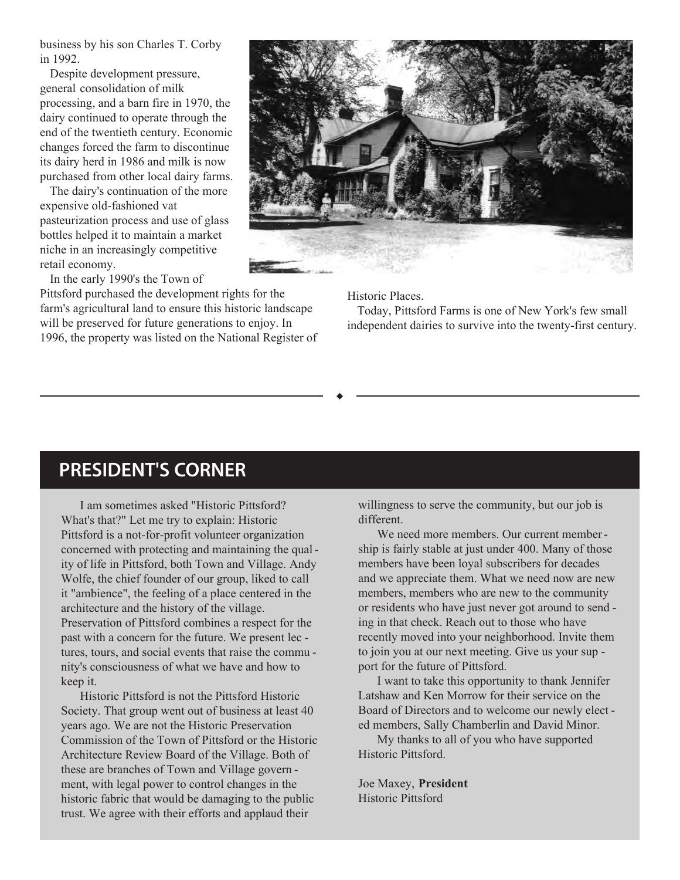business by his son Charles T. Corby in 1992.

Despite development pressure, general consolidation of milk processing, and a barn fire in 1970, the dairy continued to operate through the end of the twentieth century. Economic changes forced the farm to discontinue its dairy herd in 1986 and milk is now purchased from other local dairy farms.

The dairy's continuation of the more expensive old-fashioned vat pasteurization process and use of glass bottles helped it to maintain a market niche in an increasingly competitive retail economy.

In the early 1990's the Town of

Pittsford purchased the development rights for the farm's agricultural land to ensure this historic landscape will be preserved for future generations to enjoy. In 1996, the property was listed on the National Register of



Today, Pittsford Farms is one of New York's few small independent dairies to survive into the twenty-first century.

# **PRESIDENT'S CORNER**

I am sometimes asked "Historic Pittsford? What's that?" Let me try to explain: Historic Pittsford is a not-for-profit volunteer organization concerned with protecting and maintaining the qual ity of life in Pittsford, both Town and Village. Andy Wolfe, the chief founder of our group, liked to call it "ambience", the feeling of a place centered in the architecture and the history of the village. Preservation of Pittsford combines a respect for the past with a concern for the future. We present lec tures, tours, and social events that raise the commu nity's consciousness of what we have and how to keep it.

Historic Pittsford is not the Pittsford Historic Society. That group went out of business at least 40 years ago. We are not the Historic Preservation Commission of the Town of Pittsford or the Historic Architecture Review Board of the Village. Both of these are branches of Town and Village govern ment, with legal power to control changes in the historic fabric that would be damaging to the public trust. We agree with their efforts and applaud their

willingness to serve the community, but our job is different.

We need more members. Our current member ship is fairly stable at just under 400. Many of those members have been loyal subscribers for decades and we appreciate them. What we need now are new members, members who are new to the community or residents who have just never got around to send ing in that check. Reach out to those who have recently moved into your neighborhood. Invite them to join you at our next meeting. Give us your sup port for the future of Pittsford.

I want to take this opportunity to thank Jennifer Latshaw and Ken Morrow for their service on the Board of Directors and to welcome our newly elect ed members, Sally Chamberlin and David Minor.

My thanks to all of you who have supported Historic Pittsford.

Joe Maxey, **President**  Historic Pittsford

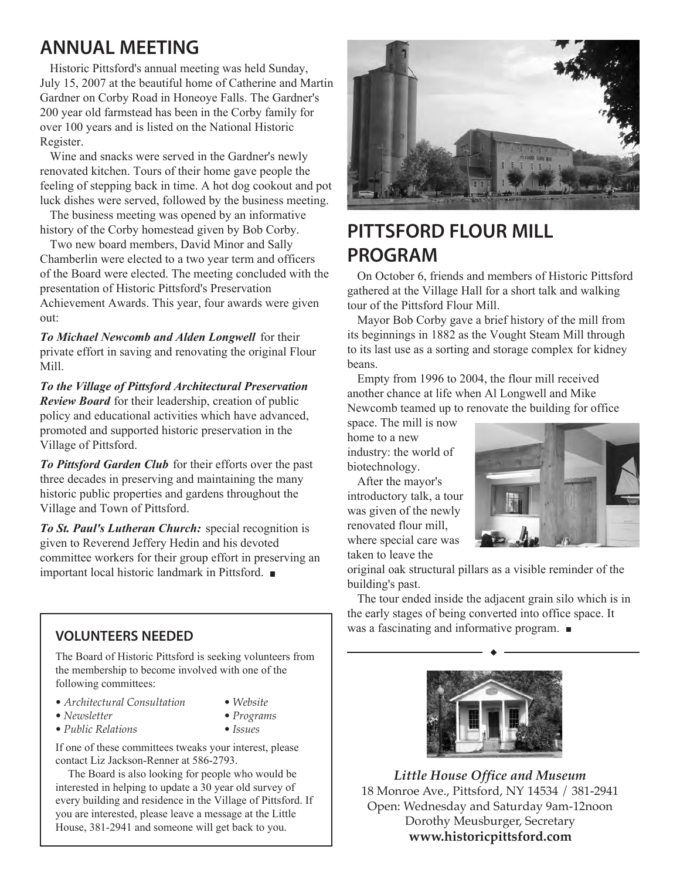# **ANNUAL MEETING**

Historic Pittsford's annual meeting was held Sunday, July 15, 2007 at the beautiful home of Catherine and Martin Gardner on Corby Road in Honeoye Falls. The Gardner's 200 year old farmstead has been in the Corby family for over 100 years and is listed on the National Historic Register.

Wine and snacks were served in the Gardner's newly renovated kitchen. Tours of their home gave people the feeling of stepping back in time. A hot dog cookout and pot luck dishes were served, followed by the business meeting.

The business meeting was opened by an informative history of the Corby homestead given by Bob Corby.

Two new board members, David Minor and Sally Chamberlin were elected to a two year term and officers of the Board were elected. The meeting concluded with the presentation of Historic Pittsford's Preservation Achievement Awards. This year, four awards were given out:

*To Michael Newcomb and Alden Longwell* for their private effort in saving and renovating the original Flour Mill.

*To the Village of Pittsford Architectural Preservation Review Board* for their leadership, creation of public policy and educational activities which have advanced, promoted and supported historic preservation in the Village of Pittsford.

*To Pittsford Garden Club* for their efforts over the past three decades in preserving and maintaining the many historic public properties and gardens throughout the Village and Town of Pittsford.

*To St. Paul's Lutheran Church:* special recognition is given to Reverend Jeffery Hedin and his devoted committee workers for their group effort in preserving an important local historic landmark in Pittsford.

The Board of Historic Pittsford is seeking volunteers from the membership to become involved with one of the following committees:

- *Architectural Consultation Website*
- *Newsletter Programs*
	-
- *Public Relations Issues*
- 

If one of these committees tweaks your interest, please contact Liz Jackson-Renner at 586-2793.

The Board is also looking for people who would be interested in helping to update a 30 year old survey of every building and residence in the Village of Pittsford. If you are interested, please leave a message at the Little House, 381-2941 and someone will get back to you.



# **PITTSFORD FLOUR MILL PROGRAM**

On October 6, friends and members of Historic Pittsford gathered at the Village Hall for a short talk and walking tour of the Pittsford Flour Mill.

Mayor Bob Corby gave a brief history of the mill from its beginnings in 1882 as the Vought Steam Mill through to its last use as a sorting and storage complex for kidney beans.

Empty from 1996 to 2004, the flour mill received another chance at life when Al Longwell and Mike Newcomb teamed up to renovate the building for office

space. The mill is now home to a new industry: the world of biotechnology.

After the mayor's introductory talk, a tour was given of the newly renovated flour mill, where special care was taken to leave the



original oak structural pillars as a visible reminder of the building's past.

The tour ended inside the adjacent grain silo which is in the early stages of being converted into office space. It was a fascinating and informative program. **VOLUNTEERS NEEDED**



*Little House Office and Museum* 18 Monroe Ave., Pittsford, NY 14534 / 381-2941 Open: Wednesday and Saturday 9am-12noon Dorothy Meusburger, Secretary **www.historicpittsford.com**